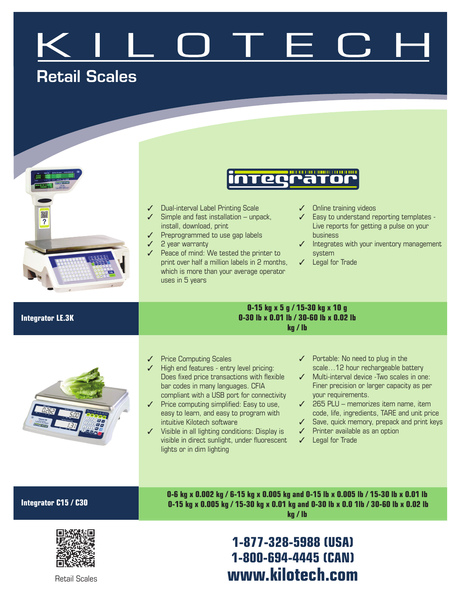# Retail Scales



## **inteer**

- ✓ Dual-interval Label Printing Scale
- ✓ Simple and fast installation unpack, install, download, print
- ✓ Preprogrammed to use gap labels
- ✓ 2 year warranty
- ✓ Peace of mind: We tested the printer to print over half a million labels in 2 months, which is more than your average operator uses in 5 years
- Online training videos
- Easy to understand reporting templates -Live reports for getting a pulse on your business
- ✓ Integrates with your inventory management system
- ✓ Legal for Trade

### **0-15 kg x 5 g / 15-30 kg x 10 g 0-30 lb x 0.01 lb / 30-60 lb x 0.02 lb kg / lb**



- ✓ Price Computing Scales
- ✓ High end features entry level pricing: Does fixed price transactions with flexible bar codes in many languages. CFIA compliant with a USB port for connectivity
- ✓ Price computing simplified: Easy to use, easy to learn, and easy to program with intuitive Kilotech software
- ✓ Visible in all lighting conditions: Display is visible in direct sunlight, under fluorescent lights or in dim lighting
- ✓ Portable: No need to plug in the scale…12 hour rechargeable battery
- ✓ Multi-interval device -Two scales in one: Finer precision or larger capacity as per your requirements.
- ✓ 265 PLU memorizes item name, item code, life, ingredients, TARE and unit price
- ✓ Save, quick memory, prepack and print keys
- ✓ Printer available as an option
- ✓ Legal for Trade

### **Integrator C15 / C30**

**Integrator LE.3K**

**0-6 kg x 0.002 kg / 6-15 kg x 0.005 kg and 0-15 lb x 0.005 lb / 15-30 lb x 0.01 lb 0-15 kg x 0.005 kg / 15-30 kg x 0.01 kg and 0-30 lb x 0.0 1lb / 30-60 lb x 0.02 lb kg / lb**

## **1-877-328-5988 (USA) 1-800-694-4445 (CAN)** Retail Scales **www.kilotech.com**